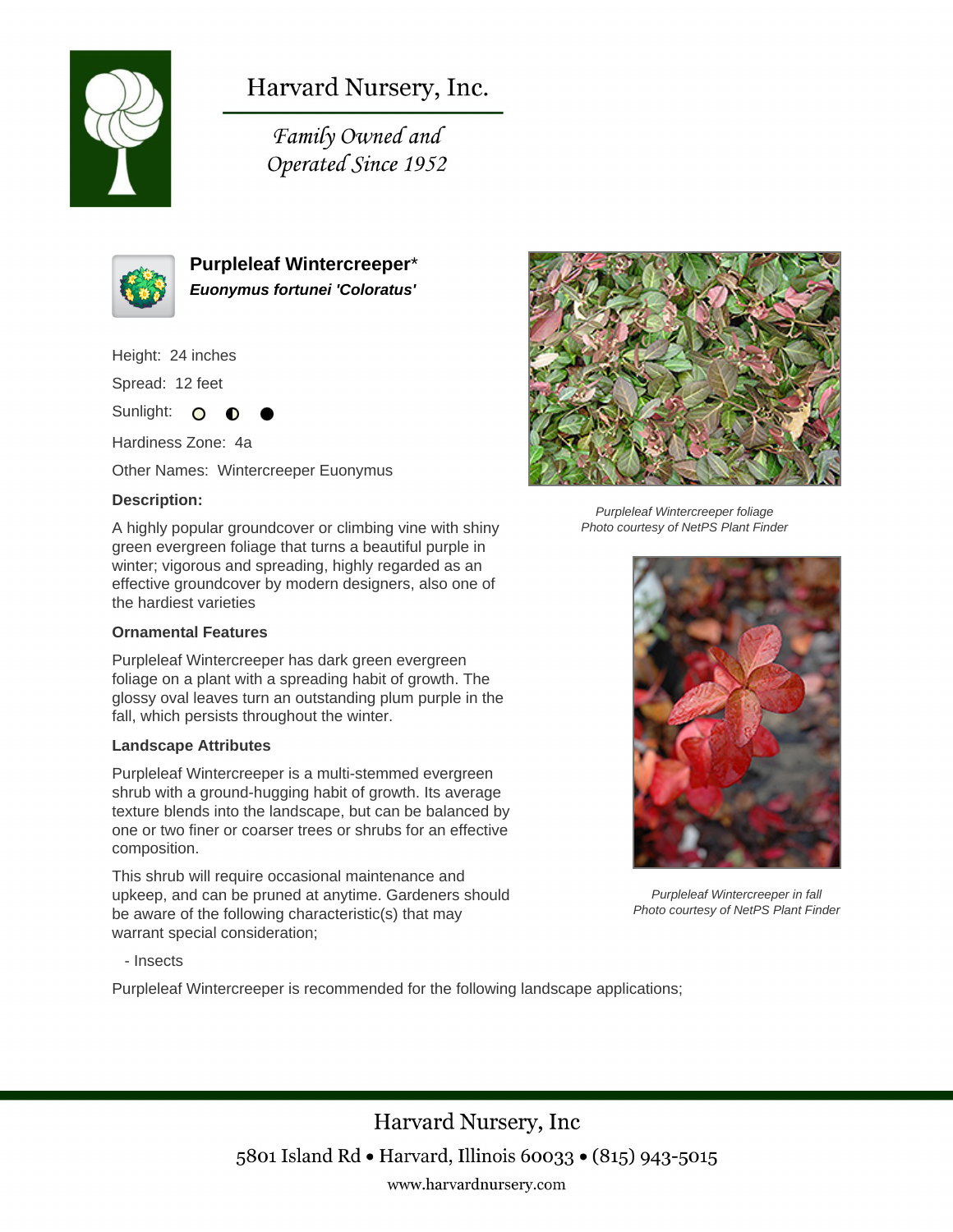

Harvard Nursery, Inc.

Family Owned and Operated Since 1952



**Purpleleaf Wintercreeper**\* **Euonymus fortunei 'Coloratus'**

Height: 24 inches

Spread: 12 feet

Sunlight: O ∩

Hardiness Zone: 4a

Other Names: Wintercreeper Euonymus

## **Description:**

A highly popular groundcover or climbing vine with shiny green evergreen foliage that turns a beautiful purple in winter; vigorous and spreading, highly regarded as an effective groundcover by modern designers, also one of the hardiest varieties

### **Ornamental Features**

Purpleleaf Wintercreeper has dark green evergreen foliage on a plant with a spreading habit of growth. The glossy oval leaves turn an outstanding plum purple in the fall, which persists throughout the winter.

#### **Landscape Attributes**

Purpleleaf Wintercreeper is a multi-stemmed evergreen shrub with a ground-hugging habit of growth. Its average texture blends into the landscape, but can be balanced by one or two finer or coarser trees or shrubs for an effective composition.

This shrub will require occasional maintenance and upkeep, and can be pruned at anytime. Gardeners should be aware of the following characteristic(s) that may warrant special consideration;

Purpleleaf Wintercreeper foliage Photo courtesy of NetPS Plant Finder



Purpleleaf Wintercreeper in fall Photo courtesy of NetPS Plant Finder

- Insects

Purpleleaf Wintercreeper is recommended for the following landscape applications;

Harvard Nursery, Inc 5801 Island Rd • Harvard, Illinois 60033 • (815) 943-5015 www.harvardnursery.com